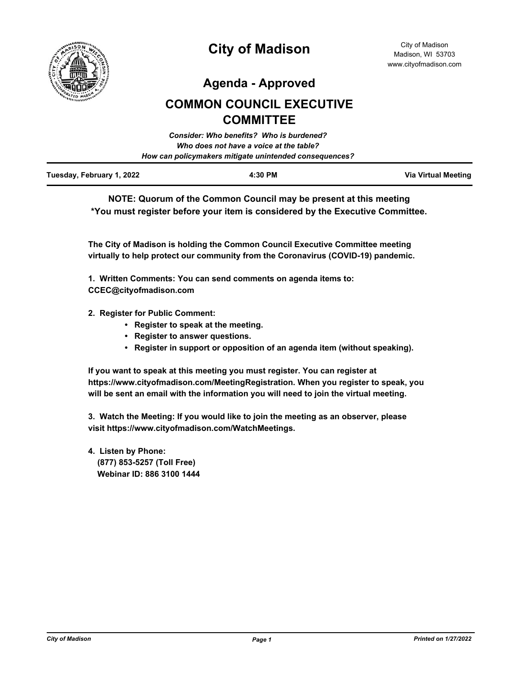

**Agenda - Approved**

# **COMMON COUNCIL EXECUTIVE COMMITTEE**

|                           | Consider: Who benefits? Who is burdened?               |                     |
|---------------------------|--------------------------------------------------------|---------------------|
|                           | Who does not have a voice at the table?                |                     |
|                           | How can policymakers mitigate unintended consequences? |                     |
| Tuesday, February 1, 2022 | 4:30 PM                                                | Via Virtual Meeting |

**NOTE: Quorum of the Common Council may be present at this meeting \*You must register before your item is considered by the Executive Committee.**

**The City of Madison is holding the Common Council Executive Committee meeting virtually to help protect our community from the Coronavirus (COVID-19) pandemic.**

**1. Written Comments: You can send comments on agenda items to: CCEC@cityofmadison.com**

- **2. Register for Public Comment:** 
	- **Register to speak at the meeting.**
	- **Register to answer questions.**
	- **Register in support or opposition of an agenda item (without speaking).**

**If you want to speak at this meeting you must register. You can register at https://www.cityofmadison.com/MeetingRegistration. When you register to speak, you will be sent an email with the information you will need to join the virtual meeting.**

**3. Watch the Meeting: If you would like to join the meeting as an observer, please visit https://www.cityofmadison.com/WatchMeetings.**

**4. Listen by Phone: (877) 853-5257 (Toll Free) Webinar ID: 886 3100 1444**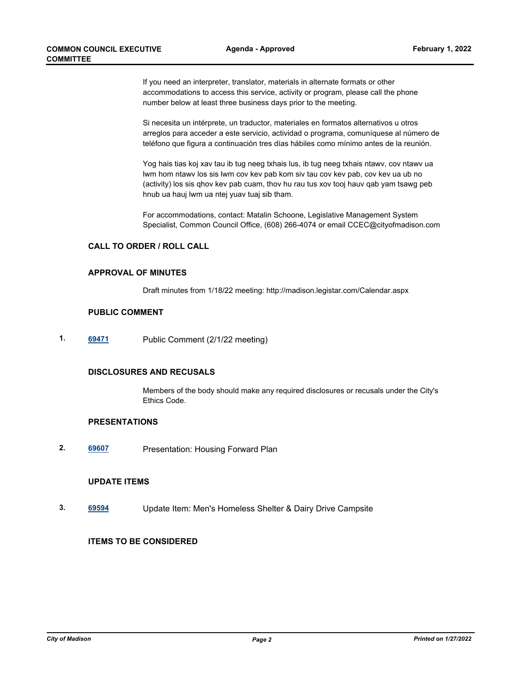If you need an interpreter, translator, materials in alternate formats or other accommodations to access this service, activity or program, please call the phone number below at least three business days prior to the meeting.

Si necesita un intérprete, un traductor, materiales en formatos alternativos u otros arreglos para acceder a este servicio, actividad o programa, comuníquese al número de teléfono que figura a continuación tres días hábiles como mínimo antes de la reunión.

Yog hais tias koj xav tau ib tug neeg txhais lus, ib tug neeg txhais ntawv, cov ntawv ua lwm hom ntawv los sis lwm cov kev pab kom siv tau cov kev pab, cov kev ua ub no (activity) los sis qhov kev pab cuam, thov hu rau tus xov tooj hauv qab yam tsawg peb hnub ua hauj lwm ua ntej yuav tuaj sib tham.

For accommodations, contact: Matalin Schoone, Legislative Management System Specialist, Common Council Office, (608) 266-4074 or email CCEC@cityofmadison.com

#### **CALL TO ORDER / ROLL CALL**

### **APPROVAL OF MINUTES**

Draft minutes from 1/18/22 meeting: http://madison.legistar.com/Calendar.aspx

#### **PUBLIC COMMENT**

**1. [69471](http://madison.legistar.com/gateway.aspx?m=l&id=/matter.aspx?key=80868)** Public Comment (2/1/22 meeting)

#### **DISCLOSURES AND RECUSALS**

Members of the body should make any required disclosures or recusals under the City's Ethics Code.

## **PRESENTATIONS**

**2. [69607](http://madison.legistar.com/gateway.aspx?m=l&id=/matter.aspx?key=80954)** Presentation: Housing Forward Plan

### **UPDATE ITEMS**

**3. [69594](http://madison.legistar.com/gateway.aspx?m=l&id=/matter.aspx?key=80953)** Update Item: Men's Homeless Shelter & Dairy Drive Campsite

## **ITEMS TO BE CONSIDERED**